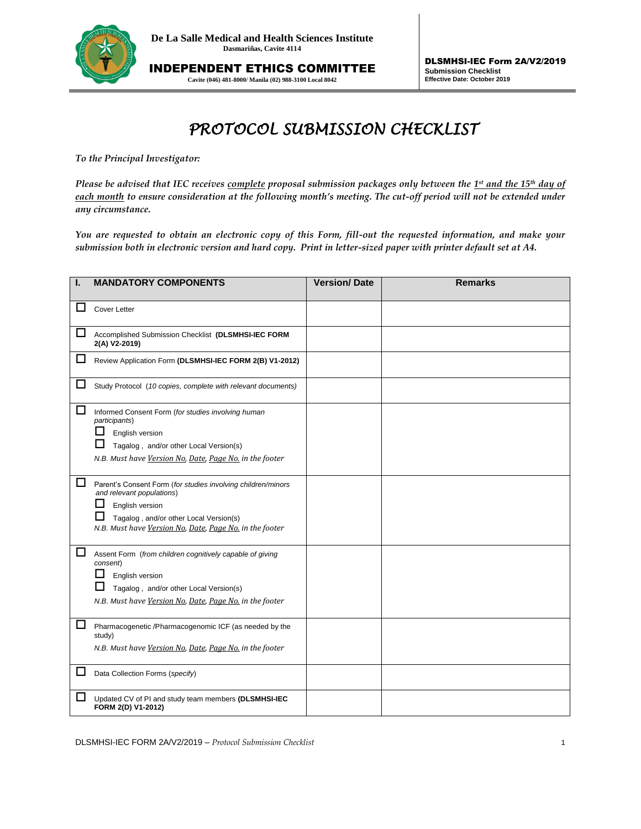

INDEPENDENT ETHICS COMMITTEE **Cavite (046) 481-8000/ Manila (02) 988-3100 Local 8042**

## *PROTOCOL SUBMISSION CHECKLIST*

*To the Principal Investigator:* 

*Please be advised that IEC receives complete proposal submission packages only between the 1<sup><i>st*</sup> and the 15<sup>th</sup> day of *each month to ensure consideration at the following month's meeting. The cut-off period will not be extended under any circumstance.* 

*You are requested to obtain an electronic copy of this Form, fill-out the requested information, and make your submission both in electronic version and hard copy. Print in letter-sized paper with printer default set at A4.*

| ı. | <b>MANDATORY COMPONENTS</b>                                                                                                                                                                                       | <b>Version/Date</b> | <b>Remarks</b> |
|----|-------------------------------------------------------------------------------------------------------------------------------------------------------------------------------------------------------------------|---------------------|----------------|
|    | <b>Cover Letter</b>                                                                                                                                                                                               |                     |                |
| ப  | Accomplished Submission Checklist (DLSMHSI-IEC FORM<br>2(A) V2-2019)                                                                                                                                              |                     |                |
| ப  | Review Application Form (DLSMHSI-IEC FORM 2(B) V1-2012)                                                                                                                                                           |                     |                |
| ப  | Study Protocol (10 copies, complete with relevant documents)                                                                                                                                                      |                     |                |
| □  | Informed Consent Form (for studies involving human<br>participants)<br>English version<br>Tagalog, and/or other Local Version(s)<br>N.B. Must have Version No. Date, Paae No. in the footer                       |                     |                |
| □  | Parent's Consent Form (for studies involving children/minors<br>and relevant populations)<br>English version<br>Tagalog, and/or other Local Version(s)<br>N.B. Must have Version No, Date, Page No. in the footer |                     |                |
| □  | Assent Form (from children cognitively capable of giving<br>consent)<br>English version<br>ப<br>Tagalog, and/or other Local Version(s)<br>N.B. Must have Version No, Date, Page No. in the footer                 |                     |                |
| □  | Pharmacogenetic /Pharmacogenomic ICF (as needed by the<br>study)<br>N.B. Must have Version No, Date, Page No. in the footer                                                                                       |                     |                |
|    | Data Collection Forms (specify)                                                                                                                                                                                   |                     |                |
|    | Updated CV of PI and study team members (DLSMHSI-IEC<br>FORM 2(D) V1-2012)                                                                                                                                        |                     |                |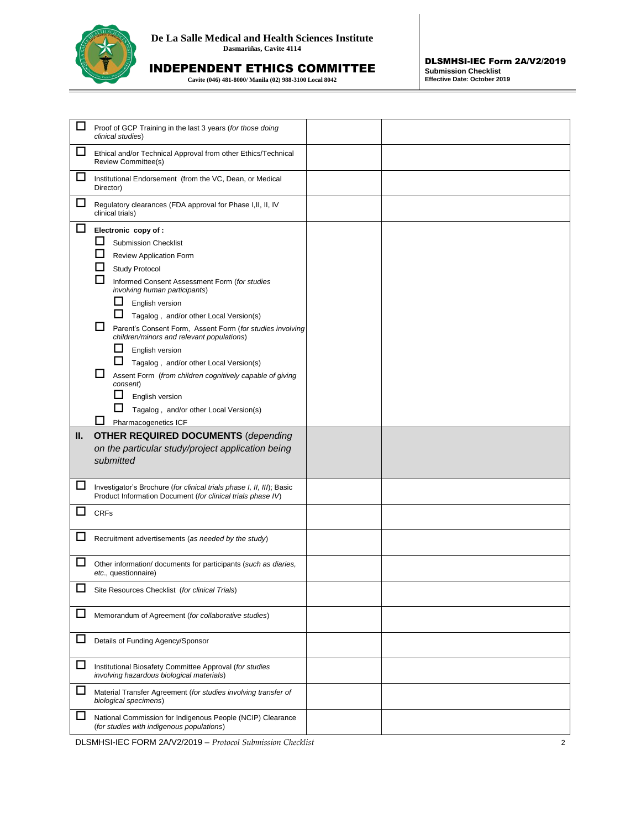

## INDEPENDENT ETHICS COMMITTEE

**Cavite (046) 481-8000/ Manila (02) 988-3100 Local 8042**

| Proof of GCP Training in the last 3 years (for those doing<br>clinical studies)                                                                                                                                                                                                                                                                                                                                                                                                                                                                                                                                |  |
|----------------------------------------------------------------------------------------------------------------------------------------------------------------------------------------------------------------------------------------------------------------------------------------------------------------------------------------------------------------------------------------------------------------------------------------------------------------------------------------------------------------------------------------------------------------------------------------------------------------|--|
| Ethical and/or Technical Approval from other Ethics/Technical<br>Review Committee(s)                                                                                                                                                                                                                                                                                                                                                                                                                                                                                                                           |  |
| Institutional Endorsement (from the VC, Dean, or Medical<br>Director)                                                                                                                                                                                                                                                                                                                                                                                                                                                                                                                                          |  |
| Regulatory clearances (FDA approval for Phase I, II, II, IV<br>clinical trials)                                                                                                                                                                                                                                                                                                                                                                                                                                                                                                                                |  |
| Electronic copy of :<br><b>Submission Checklist</b><br>Review Application Form<br>Study Protocol<br>Informed Consent Assessment Form (for studies<br>involving human participants)<br>ப<br>English version<br>Tagalog, and/or other Local Version(s)<br>LΙ<br>Parent's Consent Form, Assent Form (for studies involving<br>children/minors and relevant populations)<br>ப<br>English version<br>ப<br>Tagalog, and/or other Local Version(s)<br>Assent Form (from children cognitively capable of giving<br>consent)<br>ΙI<br>English version<br>Tagalog, and/or other Local Version(s)<br>Pharmacogenetics ICF |  |
| <b>OTHER REQUIRED DOCUMENTS (depending</b><br>on the particular study/project application being<br>submitted                                                                                                                                                                                                                                                                                                                                                                                                                                                                                                   |  |
| Investigator's Brochure (for clinical trials phase I, II, III); Basic<br>Product Information Document (for clinical trials phase IV)                                                                                                                                                                                                                                                                                                                                                                                                                                                                           |  |
| <b>CRFs</b>                                                                                                                                                                                                                                                                                                                                                                                                                                                                                                                                                                                                    |  |
| Recruitment advertisements (as needed by the study)                                                                                                                                                                                                                                                                                                                                                                                                                                                                                                                                                            |  |
| Other information/ documents for participants (such as diaries,<br>etc., questionnaire)                                                                                                                                                                                                                                                                                                                                                                                                                                                                                                                        |  |
| Site Resources Checklist (for clinical Trials)                                                                                                                                                                                                                                                                                                                                                                                                                                                                                                                                                                 |  |
| Memorandum of Agreement (for collaborative studies)                                                                                                                                                                                                                                                                                                                                                                                                                                                                                                                                                            |  |
| Details of Funding Agency/Sponsor                                                                                                                                                                                                                                                                                                                                                                                                                                                                                                                                                                              |  |
| Institutional Biosafety Committee Approval (for studies<br>involving hazardous biological materials)                                                                                                                                                                                                                                                                                                                                                                                                                                                                                                           |  |
| Material Transfer Agreement (for studies involving transfer of<br>biological specimens)                                                                                                                                                                                                                                                                                                                                                                                                                                                                                                                        |  |
| National Commission for Indigenous People (NCIP) Clearance<br>(for studies with indigenous populations)                                                                                                                                                                                                                                                                                                                                                                                                                                                                                                        |  |
|                                                                                                                                                                                                                                                                                                                                                                                                                                                                                                                                                                                                                |  |

DLSMHSI-IEC FORM 2A/V2/2019 – *Protocol Submission Checklist* 2